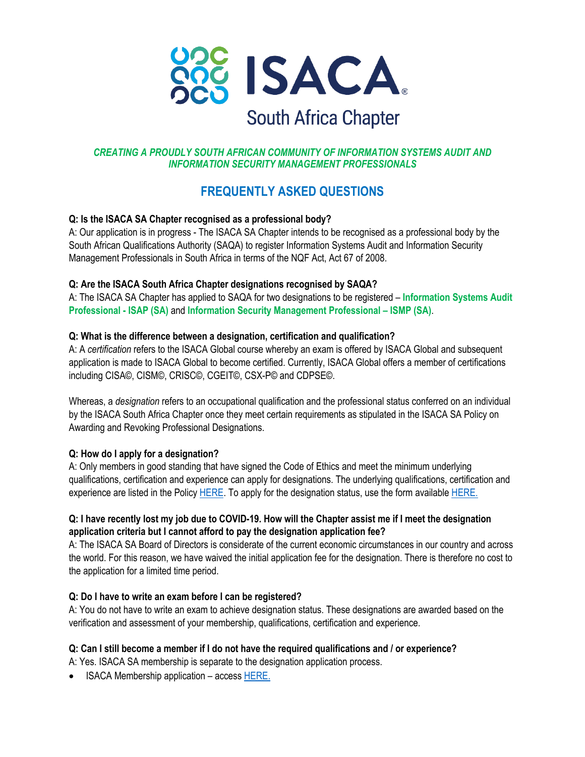

# *CREATING A PROUDLY SOUTH AFRICAN COMMUNITY OF INFORMATION SYSTEMS AUDIT AND INFORMATION SECURITY MANAGEMENT PROFESSIONALS*

# **FREQUENTLY ASKED QUESTIONS**

# **Q: Is the ISACA SA Chapter recognised as a professional body?**

A: Our application is in progress - The ISACA SA Chapter intends to be recognised as a professional body by the South African Qualifications Authority (SAQA) to register Information Systems Audit and Information Security Management Professionals in South Africa in terms of the NQF Act, Act 67 of 2008.

## **Q: Are the ISACA South Africa Chapter designations recognised by SAQA?**

A: The ISACA SA Chapter has applied to SAQA for two designations to be registered – **Information Systems Audit Professional - ISAP (SA)** and **Information Security Management Professional – ISMP (SA)**.

## **Q: What is the difference between a designation, certification and qualification?**

A: A *certification* refers to the ISACA Global course whereby an exam is offered by ISACA Global and subsequent application is made to ISACA Global to become certified. Currently, ISACA Global offers a member of certifications including CISA©, CISM©, CRISC©, CGEIT©, CSX-P© and CDPSE©.

Whereas, a *designation* refers to an occupational qualification and the professional status conferred on an individual by the ISACA South Africa Chapter once they meet certain requirements as stipulated in the ISACA SA Policy on Awarding and Revoking Professional Designations.

# **Q: How do I apply for a designation?**

A: Only members in good standing that have signed the Code of Ethics and meet the minimum underlying qualifications, certification and experience can apply for designations. The underlying qualifications, certification and experience are listed in the Policy HERE. To apply for the designation status, use the form available HERE.

# **Q: I have recently lost my job due to COVID-19. How will the Chapter assist me if I meet the designation application criteria but I cannot afford to pay the designation application fee?**

A: The ISACA SA Board of Directors is considerate of the current economic circumstances in our country and across the world. For this reason, we have waived the initial application fee for the designation. There is therefore no cost to the application for a limited time period.

#### **Q: Do I have to write an exam before I can be registered?**

A: You do not have to write an exam to achieve designation status. These designations are awarded based on the verification and assessment of your membership, qualifications, certification and experience.

#### **Q: Can I still become a member if I do not have the required qualifications and / or experience?**

A: Yes. ISACA SA membership is separate to the designation application process.

• ISACA Membership application – access HERE.